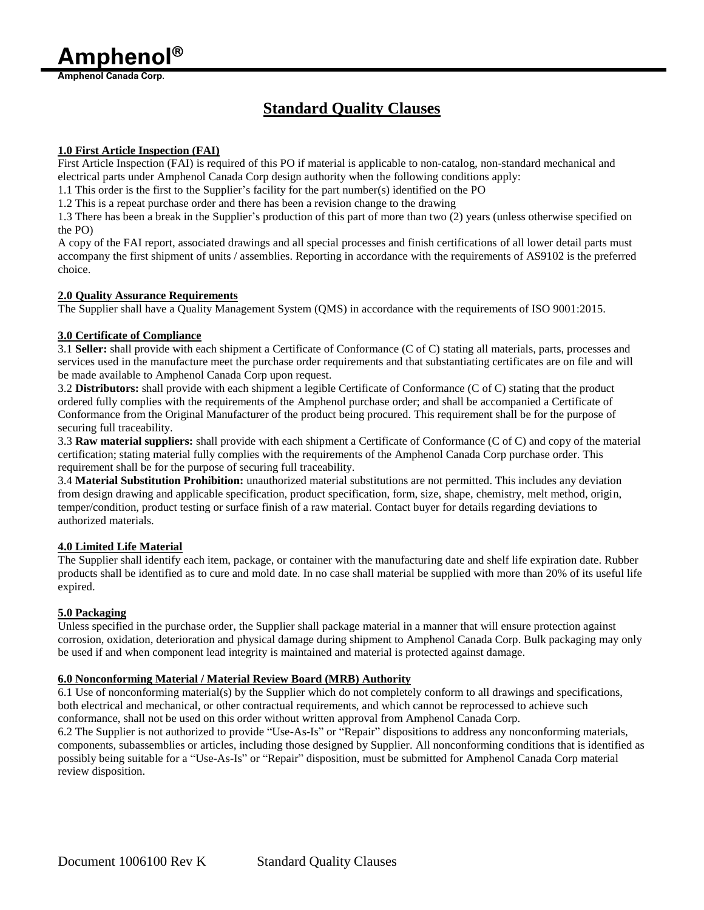**Amphenol**

**Amphenol Canada Corp.**

# **Standard Quality Clauses**

## **1.0 First Article Inspection (FAI)**

First Article Inspection (FAI) is required of this PO if material is applicable to non-catalog, non-standard mechanical and electrical parts under Amphenol Canada Corp design authority when the following conditions apply:

1.1 This order is the first to the Supplier's facility for the part number(s) identified on the PO

1.2 This is a repeat purchase order and there has been a revision change to the drawing

1.3 There has been a break in the Supplier's production of this part of more than two (2) years (unless otherwise specified on the PO)

A copy of the FAI report, associated drawings and all special processes and finish certifications of all lower detail parts must accompany the first shipment of units / assemblies. Reporting in accordance with the requirements of AS9102 is the preferred choice.

## **2.0 Quality Assurance Requirements**

The Supplier shall have a Quality Management System (QMS) in accordance with the requirements of ISO 9001:2015.

## **3.0 Certificate of Compliance**

3.1 **Seller:** shall provide with each shipment a Certificate of Conformance (C of C) stating all materials, parts, processes and services used in the manufacture meet the purchase order requirements and that substantiating certificates are on file and will be made available to Amphenol Canada Corp upon request.

3.2 **Distributors:** shall provide with each shipment a legible Certificate of Conformance (C of C) stating that the product ordered fully complies with the requirements of the Amphenol purchase order; and shall be accompanied a Certificate of Conformance from the Original Manufacturer of the product being procured. This requirement shall be for the purpose of securing full traceability.

3.3 **Raw material suppliers:** shall provide with each shipment a Certificate of Conformance (C of C) and copy of the material certification; stating material fully complies with the requirements of the Amphenol Canada Corp purchase order. This requirement shall be for the purpose of securing full traceability.

3.4 **Material Substitution Prohibition:** unauthorized material substitutions are not permitted. This includes any deviation from design drawing and applicable specification, product specification, form, size, shape, chemistry, melt method, origin, temper/condition, product testing or surface finish of a raw material. Contact buyer for details regarding deviations to authorized materials.

# **4.0 Limited Life Material**

The Supplier shall identify each item, package, or container with the manufacturing date and shelf life expiration date. Rubber products shall be identified as to cure and mold date. In no case shall material be supplied with more than 20% of its useful life expired.

# **5.0 Packaging**

Unless specified in the purchase order, the Supplier shall package material in a manner that will ensure protection against corrosion, oxidation, deterioration and physical damage during shipment to Amphenol Canada Corp. Bulk packaging may only be used if and when component lead integrity is maintained and material is protected against damage.

#### **6.0 Nonconforming Material / Material Review Board (MRB) Authority**

6.1 Use of nonconforming material(s) by the Supplier which do not completely conform to all drawings and specifications, both electrical and mechanical, or other contractual requirements, and which cannot be reprocessed to achieve such conformance, shall not be used on this order without written approval from Amphenol Canada Corp.

6.2 The Supplier is not authorized to provide "Use-As-Is" or "Repair" dispositions to address any nonconforming materials, components, subassemblies or articles, including those designed by Supplier. All nonconforming conditions that is identified as possibly being suitable for a "Use-As-Is" or "Repair" disposition, must be submitted for Amphenol Canada Corp material review disposition.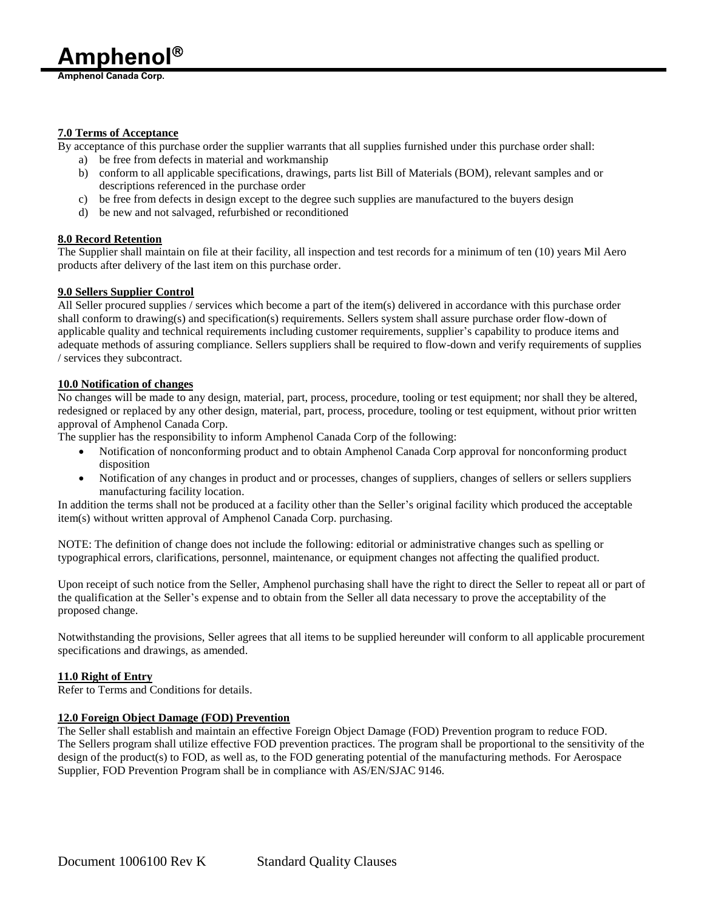**Amphenol Canada Corp.**

# **7.0 Terms of Acceptance**

By acceptance of this purchase order the supplier warrants that all supplies furnished under this purchase order shall:

- a) be free from defects in material and workmanship
- b) conform to all applicable specifications, drawings, parts list Bill of Materials (BOM), relevant samples and or descriptions referenced in the purchase order
- c) be free from defects in design except to the degree such supplies are manufactured to the buyers design
- d) be new and not salvaged, refurbished or reconditioned

# **8.0 Record Retention**

The Supplier shall maintain on file at their facility, all inspection and test records for a minimum of ten (10) years Mil Aero products after delivery of the last item on this purchase order.

## **9.0 Sellers Supplier Control**

All Seller procured supplies / services which become a part of the item(s) delivered in accordance with this purchase order shall conform to drawing(s) and specification(s) requirements. Sellers system shall assure purchase order flow-down of applicable quality and technical requirements including customer requirements, supplier's capability to produce items and adequate methods of assuring compliance. Sellers suppliers shall be required to flow-down and verify requirements of supplies / services they subcontract.

## **10.0 Notification of changes**

No changes will be made to any design, material, part, process, procedure, tooling or test equipment; nor shall they be altered, redesigned or replaced by any other design, material, part, process, procedure, tooling or test equipment, without prior written approval of Amphenol Canada Corp.

The supplier has the responsibility to inform Amphenol Canada Corp of the following:

- Notification of nonconforming product and to obtain Amphenol Canada Corp approval for nonconforming product disposition
- Notification of any changes in product and or processes, changes of suppliers, changes of sellers or sellers suppliers manufacturing facility location.

In addition the terms shall not be produced at a facility other than the Seller's original facility which produced the acceptable item(s) without written approval of Amphenol Canada Corp. purchasing.

NOTE: The definition of change does not include the following: editorial or administrative changes such as spelling or typographical errors, clarifications, personnel, maintenance, or equipment changes not affecting the qualified product.

Upon receipt of such notice from the Seller, Amphenol purchasing shall have the right to direct the Seller to repeat all or part of the qualification at the Seller's expense and to obtain from the Seller all data necessary to prove the acceptability of the proposed change.

Notwithstanding the provisions, Seller agrees that all items to be supplied hereunder will conform to all applicable procurement specifications and drawings, as amended.

#### **11.0 Right of Entry**

Refer to Terms and Conditions for details.

# **12.0 Foreign Object Damage (FOD) Prevention**

The Seller shall establish and maintain an effective Foreign Object Damage (FOD) Prevention program to reduce FOD. The Sellers program shall utilize effective FOD prevention practices. The program shall be proportional to the sensitivity of the design of the product(s) to FOD, as well as, to the FOD generating potential of the manufacturing methods. For Aerospace Supplier, FOD Prevention Program shall be in compliance with AS/EN/SJAC 9146.